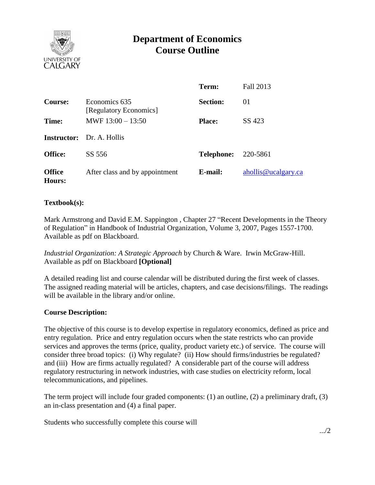

# **Department of Economics Course Outline**

|                                |                                         | Term:             | Fall 2013           |
|--------------------------------|-----------------------------------------|-------------------|---------------------|
| Course:                        | Economics 635<br>[Regulatory Economics] | <b>Section:</b>   | 01                  |
| Time:                          | MWF $13:00 - 13:50$                     | <b>Place:</b>     | SS 423              |
|                                | <b>Instructor:</b> Dr. A. Hollis        |                   |                     |
| <b>Office:</b>                 | SS 556                                  | <b>Telephone:</b> | 220-5861            |
| <b>Office</b><br><b>Hours:</b> | After class and by appointment          | E-mail:           | ahollis@ucalgary.ca |

## **Textbook(s):**

Mark Armstrong and David E.M. Sappington , Chapter 27 "Recent Developments in the Theory of Regulation" in Handbook of Industrial Organization, Volume 3, 2007, Pages 1557-1700. Available as pdf on Blackboard.

*Industrial Organization: A Strategic Approach* by Church & Ware. Irwin McGraw-Hill. Available as pdf on Blackboard **[Optional]**

A detailed reading list and course calendar will be distributed during the first week of classes. The assigned reading material will be articles, chapters, and case decisions/filings. The readings will be available in the library and/or online.

#### **Course Description:**

The objective of this course is to develop expertise in regulatory economics, defined as price and entry regulation. Price and entry regulation occurs when the state restricts who can provide services and approves the terms (price, quality, product variety etc.) of service. The course will consider three broad topics: (i) Why regulate? (ii) How should firms/industries be regulated? and (iii) How are firms actually regulated? A considerable part of the course will address regulatory restructuring in network industries, with case studies on electricity reform, local telecommunications, and pipelines.

The term project will include four graded components: (1) an outline, (2) a preliminary draft, (3) an in-class presentation and (4) a final paper.

Students who successfully complete this course will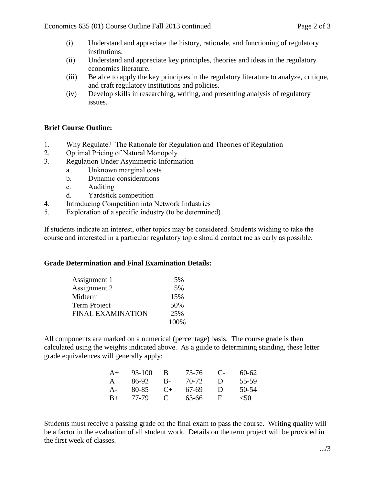- (i) Understand and appreciate the history, rationale, and functioning of regulatory institutions.
- (ii) Understand and appreciate key principles, theories and ideas in the regulatory economics literature.
- (iii) Be able to apply the key principles in the regulatory literature to analyze, critique, and craft regulatory institutions and policies.
- (iv) Develop skills in researching, writing, and presenting analysis of regulatory issues.

# **Brief Course Outline:**

- 1. Why Regulate? The Rationale for Regulation and Theories of Regulation
- 2. Optimal Pricing of Natural Monopoly
- 3. Regulation Under Asymmetric Information
	- a. Unknown marginal costs
	- b. Dynamic considerations
	- c. Auditing
	- d. Yardstick competition
- 4. Introducing Competition into Network Industries
- 5. Exploration of a specific industry (to be determined)

If students indicate an interest, other topics may be considered. Students wishing to take the course and interested in a particular regulatory topic should contact me as early as possible.

## **Grade Determination and Final Examination Details:**

| Assignment 1             | 5%   |
|--------------------------|------|
| Assignment 2             | 5%   |
| Midterm                  | 15%  |
| Term Project             | 50%  |
| <b>FINAL EXAMINATION</b> | 25%  |
|                          | 100% |

All components are marked on a numerical (percentage) basis. The course grade is then calculated using the weights indicated above. As a guide to determining standing, these letter grade equivalences will generally apply:

| $A+$         | 93-100 | В           | 73-76 | $\mathbf{C}$ | $60 - 62$ |
|--------------|--------|-------------|-------|--------------|-----------|
| $\mathsf{A}$ | 86-92  | - B-        | 70-72 | $D+$         | 55-59     |
| $A-$         | 80-85  | $C_{+}$     | 67-69 | $\mathbf{D}$ | 50-54     |
| $B+$         | 77-79  | $\mathbf C$ | 63-66 | - ⊢          | $<$ 50    |

Students must receive a passing grade on the final exam to pass the course. Writing quality will be a factor in the evaluation of all student work. Details on the term project will be provided in the first week of classes.